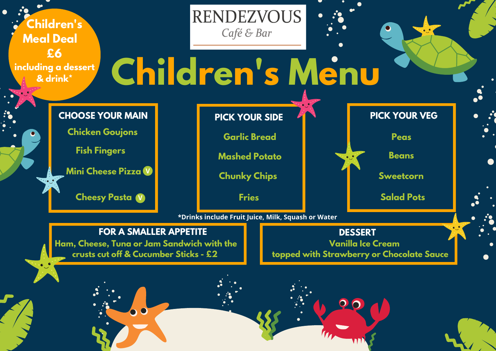**Sweetcorn**

**Beans**

 $\bullet$ 

**Mashed Potato**

**Fries**

**Garlic Bread Peas**

**Salad Pots**

**Ham, Cheese, Tuna or Jam Sandwich with the crusts cut off & Cucumber Sticks - £2**

### **RENDEZVOUS** Café & Bar

- 
- 
- 
- 

#### **PICK YOUR VEG**

**Cheesy Pasta V**

**Mini Cheese Pizza V**

# **Children's Menu**

**CHOOSE YOUR MAIN**

**Chicken Goujons**

**Fish Fingers**

**PICK YOUR SIDE**

**FOR A SMALLER APPETITE**

**Children's Meal Deal £6 including a dessert & drink\***

**\*Drinks include Fruit Juice, Milk, Squash or Water**

**Chunky Chips**

#### **DESSERT**

**Vanilla Ice Cream**

**topped with Strawberry or Chocolate Sauce**